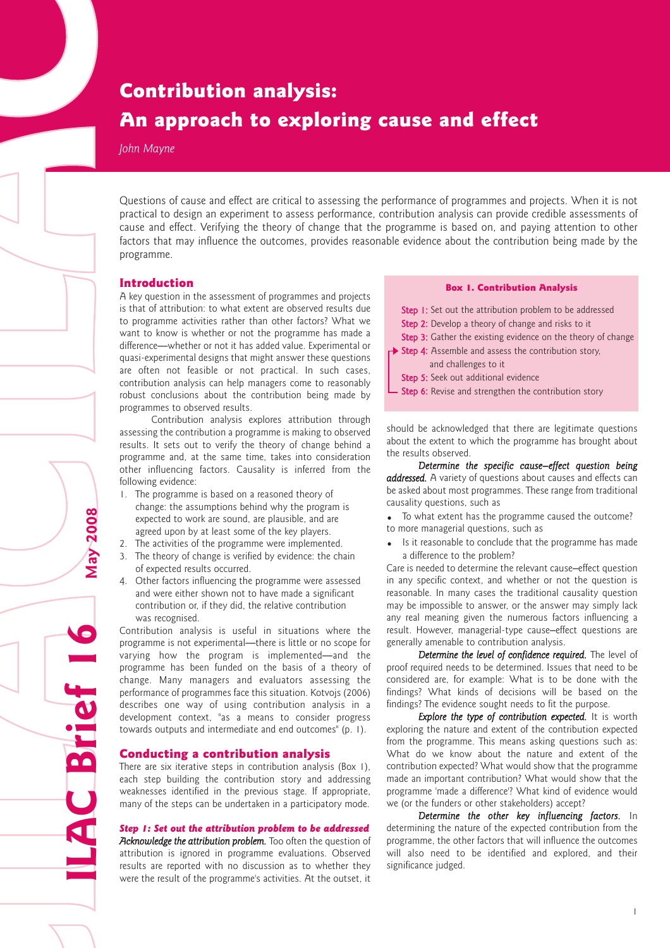# Contribution analysis: An approach to exploring cause and effect

*John Mayne*

Questions of cause and effect are critical to assessing the performance of programmes and projects. When it is not practical to design an experiment to assess performance, contribution analysis can provide credible assessments of cause and effect. Verifying the theory of change that the programme is based on, and paying attention to other factors that may influence the outcomes, provides reasonable evidence about the contribution being made by the programme.

# Introduction

A key question in the assessment of programmes and projects is that of attribution: to what extent are observed results due to programme activities rather than other factors? What we want to know is whether or not the programme has made a difference—whether or not it has added value. Experimental or quasi-experimental designs that might answer these questions are often not feasible or not practical. In such cases, contribution analysis can help managers come to reasonably robust conclusions about the contribution being made by programmes to observed results.

Contribution analysis explores attribution through assessing the contribution a programme is making to observed results. It sets out to verify the theory of change behind a programme and, at the same time, takes into consideration other influencing factors. Causality is inferred from the following evidence:

- 1. The programme is based on a reasoned theory of change: the assumptions behind why the program is expected to work are sound, are plausible, and are agreed upon by at least some of the key players.
- 2. The activities of the programme were implemented.
- 3. The theory of change is verified by evidence: the chain of expected results occurred.
- 4. Other factors influencing the programme were assessed and were either shown not to have made a significant contribution or, if they did, the relative contribution was recognised.

Contribution analysis is useful in situations where the programme is not experimental—there is little or no scope for varying how the program is implemented—and the programme has been funded on the basis of a theory of change. Many managers and evaluators assessing the performance of programmes face this situation. Kotvojs (2006) describes one way of using contribution analysis in a development context, "as a means to consider progress towards outputs and intermediate and end outcomes" (p. 1).

#### Conducting a contribution analysis

**ILAC Brief 16 May 2008**

C Brief

**May 2008** 

There are six iterative steps in contribution analysis (Box 1), each step building the contribution story and addressing weaknesses identified in the previous stage. If appropriate, many of the steps can be undertaken in a participatory mode.

*Step 1: Set out the attribution problem to be addressed Acknowledge the attribution problem.* Too often the question of attribution is ignored in programme evaluations. Observed results are reported with no discussion as to whether they were the result of the programme's activities. At the outset, it

# Box 1. Contribution Analysis

- Step 1: Set out the attribution problem to be addressed
- Step 2: Develop a theory of change and risks to it
- Step 3: Gather the existing evidence on the theory of change Step 4: Assemble and assess the contribution story,
- and challenges to it Step 5: Seek out additional evidence
- 
- Step 6: Revise and strengthen the contribution story

should be acknowledged that there are legitimate questions about the extent to which the programme has brought about the results observed.

*Determine the specific cause–effect question being addressed.* A variety of questions about causes and effects can be asked about most programmes. These range from traditional causality questions, such as

To what extent has the programme caused the outcome? to more managerial questions, such as

Is it reasonable to conclude that the programme has made a difference to the problem?

Care is needed to determine the relevant cause–effect question in any specific context, and whether or not the question is reasonable. In many cases the traditional causality question may be impossible to answer, or the answer may simply lack any real meaning given the numerous factors influencing a result. However, managerial-type cause–effect questions are generally amenable to contribution analysis.

*Determine the level of confidence required.* The level of proof required needs to be determined. Issues that need to be considered are, for example: What is to be done with the findings? What kinds of decisions will be based on the findings? The evidence sought needs to fit the purpose.

*Explore the type of contribution expected.* It is worth exploring the nature and extent of the contribution expected from the programme. This means asking questions such as: What do we know about the nature and extent of the contribution expected? What would show that the programme made an important contribution? What would show that the programme 'made a difference'? What kind of evidence would we (or the funders or other stakeholders) accept?

*Determine the other key influencing factors.* In determining the nature of the expected contribution from the programme, the other factors that will influence the outcomes will also need to be identified and explored, and their significance judged.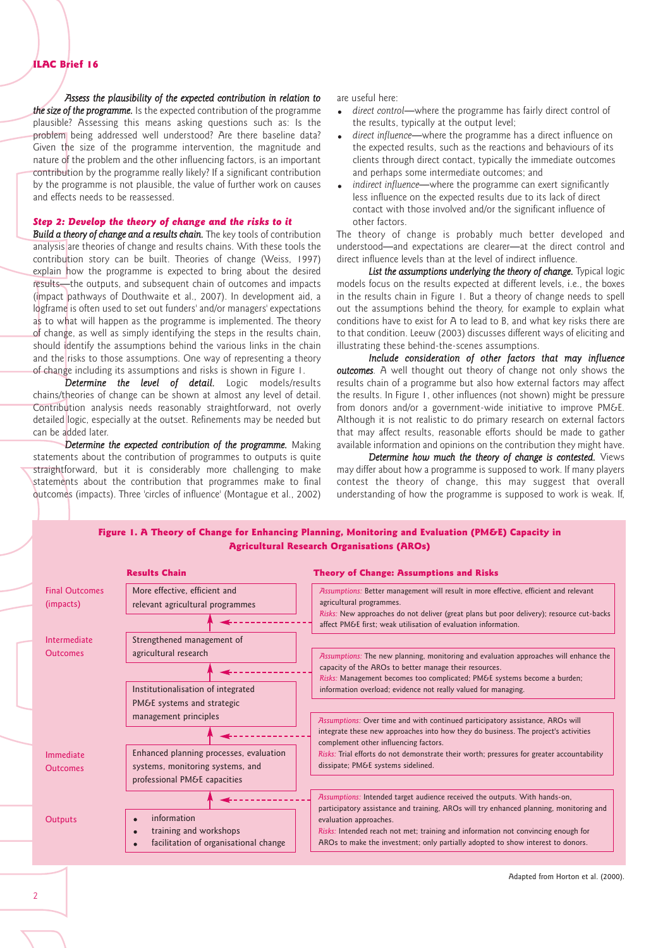#### ILAC Brief 16

*Assess the plausibility of the expected contribution in relation to*

*the size of the programme.* Is the expected contribution of the programme plausible? Assessing this means asking questions such as: Is the problem being addressed well understood? Are there baseline data? Given the size of the programme intervention, the magnitude and nature of the problem and the other influencing factors, is an important contribution by the programme really likely? If a significant contribution by the programme is not plausible, the value of further work on causes and effects needs to be reassessed.

# *Step 2: Develop the theory of change and the risks to it*

*Build a theory of change and a results chain.* The key tools of contribution analysis are theories of change and results chains. With these tools the contribution story can be built. Theories of change (Weiss, 1997) explain how the programme is expected to bring about the desired results—the outputs, and subsequent chain of outcomes and impacts (impact pathways of Douthwaite et al., 2007). In development aid, a logframe is often used to set out funders' and/or managers' expectations as to what will happen as the programme is implemented. The theory of change, as well as simply identifying the steps in the results chain, should identify the assumptions behind the various links in the chain and the risks to those assumptions. One way of representing a theory of change including its assumptions and risks is shown in Figure 1.

*Determine the level of detail.* Logic models/results chains/theories of change can be shown at almost any level of detail. Contribution analysis needs reasonably straightforward, not overly detailed logic, especially at the outset. Refinements may be needed but can be added later.

*Determine the expected contribution of the programme.* Making statements about the contribution of programmes to outputs is quite straightforward, but it is considerably more challenging to make statements about the contribution that programmes make to final outcomes (impacts). Three 'circles of influence' (Montague et al., 2002) are useful here:

- *direct control*—where the programme has fairly direct control of the results, typically at the output level;
- *direct influence*—where the programme has a direct influence on the expected results, such as the reactions and behaviours of its clients through direct contact, typically the immediate outcomes and perhaps some intermediate outcomes; and
- *indirect influence*—where the programme can exert significantly less influence on the expected results due to its lack of direct contact with those involved and/or the significant influence of other factors.

The theory of change is probably much better developed and understood—and expectations are clearer—at the direct control and direct influence levels than at the level of indirect influence.

*List the assumptions underlying the theory of change.* Typical logic models focus on the results expected at different levels, i.e., the boxes in the results chain in Figure 1. But a theory of change needs to spell out the assumptions behind the theory, for example to explain what conditions have to exist for A to lead to B, and what key risks there are to that condition. Leeuw (2003) discusses different ways of eliciting and illustrating these behind-the-scenes assumptions.

*Include consideration of other factors that may influence outcomes.* A well thought out theory of change not only shows the results chain of a programme but also how external factors may affect the results. In Figure 1, other influences (not shown) might be pressure from donors and/or a government-wide initiative to improve PM&E. Although it is not realistic to do primary research on external factors that may affect results, reasonable efforts should be made to gather available information and opinions on the contribution they might have.

*Determine how much the theory of change is contested.* Views may differ about how a programme is supposed to work. If many players contest the theory of change, this may suggest that overall understanding of how the programme is supposed to work is weak. If,



|                                    | <b>Results Chain</b>                                                                                        | <b>Theory of Change: Assumptions and Risks</b>                                                                                                                                                                                                                                                                                                                                                                                                                                                                                                                                                                                                  |
|------------------------------------|-------------------------------------------------------------------------------------------------------------|-------------------------------------------------------------------------------------------------------------------------------------------------------------------------------------------------------------------------------------------------------------------------------------------------------------------------------------------------------------------------------------------------------------------------------------------------------------------------------------------------------------------------------------------------------------------------------------------------------------------------------------------------|
| <b>Final Outcomes</b><br>(impacts) | More effective, efficient and<br>relevant agricultural programmes                                           | Assumptions: Better management will result in more effective, efficient and relevant<br>agricultural programmes.<br>Risks: New approaches do not deliver (great plans but poor delivery); resource cut-backs<br>affect PM&E first: weak utilisation of evaluation information.                                                                                                                                                                                                                                                                                                                                                                  |
| Intermediate<br><b>Outcomes</b>    | Strengthened management of<br>agricultural research                                                         | Assumptions: The new planning, monitoring and evaluation approaches will enhance the<br>capacity of the AROs to better manage their resources.<br>Risks: Management becomes too complicated; PM&E systems become a burden;<br>information overload; evidence not really valued for managing.<br>Assumptions: Over time and with continued participatory assistance, AROs will<br>integrate these new approaches into how they do business. The project's activities<br>complement other influencing factors.<br>Risks: Trial efforts do not demonstrate their worth; pressures for greater accountability<br>dissipate; PM&E systems sidelined. |
|                                    | Institutionalisation of integrated<br>PM&E systems and strategic<br>management principles                   |                                                                                                                                                                                                                                                                                                                                                                                                                                                                                                                                                                                                                                                 |
| Immediate<br><b>Outcomes</b>       | Enhanced planning processes, evaluation<br>systems, monitoring systems, and<br>professional PM&E capacities |                                                                                                                                                                                                                                                                                                                                                                                                                                                                                                                                                                                                                                                 |
| Outputs                            | information<br>training and workshops<br>facilitation of organisational change                              | Assumptions: Intended target audience received the outputs. With hands-on,<br>participatory assistance and training, AROs will try enhanced planning, monitoring and<br>evaluation approaches.<br>Risks: Intended reach not met; training and information not convincing enough for<br>AROs to make the investment; only partially adopted to show interest to donors.                                                                                                                                                                                                                                                                          |

Adapted from Horton et al. (2000).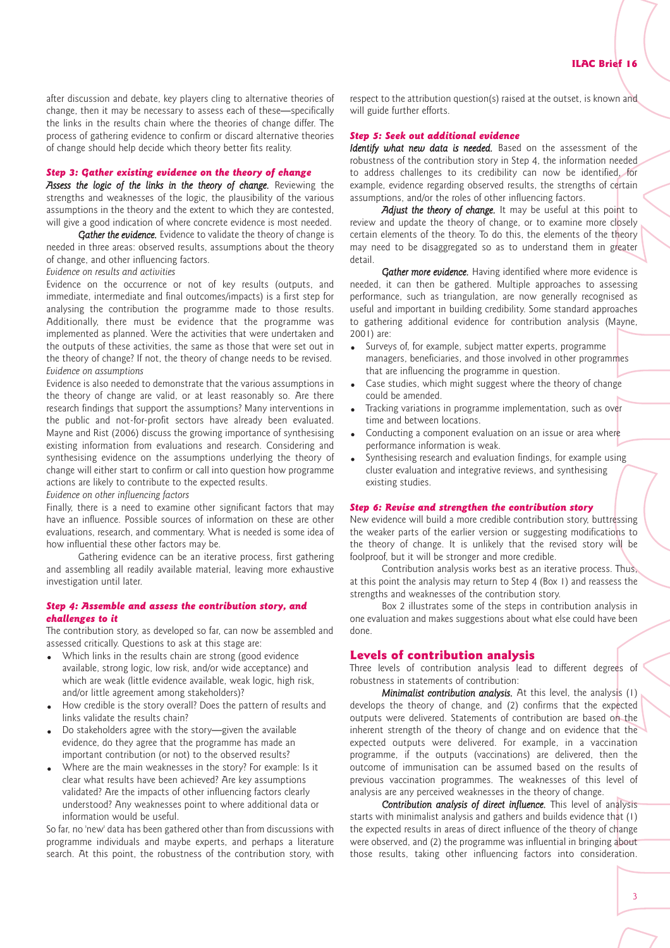after discussion and debate, key players cling to alternative theories of change, then it may be necessary to assess each of these—specifically the links in the results chain where the theories of change differ. The process of gathering evidence to confirm or discard alternative theories of change should help decide which theory better fits reality.

#### *Step 3: Gather existing evidence on the theory of change*

Assess the logic of the links in the theory of change. Reviewing the strengths and weaknesses of the logic, the plausibility of the various assumptions in the theory and the extent to which they are contested, will give a good indication of where concrete evidence is most needed.

*Gather the evidence.* Evidence to validate the theory of change is needed in three areas: observed results, assumptions about the theory of change, and other influencing factors.

*Evidence on results and activities*

Evidence on the occurrence or not of key results (outputs, and immediate, intermediate and final outcomes/impacts) is a first step for analysing the contribution the programme made to those results. Additionally, there must be evidence that the programme was implemented as planned. Were the activities that were undertaken and the outputs of these activities, the same as those that were set out in the theory of change? If not, the theory of change needs to be revised. *Evidence on assumptions*

Evidence is also needed to demonstrate that the various assumptions in the theory of change are valid, or at least reasonably so. Are there research findings that support the assumptions? Many interventions in the public and not-for-profit sectors have already been evaluated. Mayne and Rist (2006) discuss the growing importance of synthesising existing information from evaluations and research. Considering and synthesising evidence on the assumptions underlying the theory of change will either start to confirm or call into question how programme actions are likely to contribute to the expected results.

*Evidence on other influencing factors*

Finally, there is a need to examine other significant factors that may have an influence. Possible sources of information on these are other evaluations, research, and commentary. What is needed is some idea of how influential these other factors may be.

Gathering evidence can be an iterative process, first gathering and assembling all readily available material, leaving more exhaustive investigation until later.

#### *Step 4: Assemble and assess the contribution story, and challenges to it*

The contribution story, as developed so far, can now be assembled and assessed critically. Questions to ask at this stage are:

- Which links in the results chain are strong (good evidence available, strong logic, low risk, and/or wide acceptance) and which are weak (little evidence available, weak logic, high risk, and/or little agreement among stakeholders)?
- How credible is the story overall? Does the pattern of results and links validate the results chain?
- Do stakeholders agree with the story—given the available evidence, do they agree that the programme has made an important contribution (or not) to the observed results?
- Where are the main weaknesses in the story? For example: Is it clear what results have been achieved? Are key assumptions validated? Are the impacts of other influencing factors clearly understood? Any weaknesses point to where additional data or information would be useful.

So far, no 'new' data has been gathered other than from discussions with programme individuals and maybe experts, and perhaps a literature search. At this point, the robustness of the contribution story, with

respect to the attribution question(s) raised at the outset, is known and will guide further efforts.

#### *Step 5: Seek out additional evidence*

*Identify what new data is needed.* Based on the assessment of the robustness of the contribution story in Step 4, the information needed to address challenges to its credibility can now be identified, for example, evidence regarding observed results, the strengths of certain assumptions, and/or the roles of other influencing factors.

Adjust the theory of change. It may be useful at this point to review and update the theory of change, or to examine more closely certain elements of the theory. To do this, the elements of the theory may need to be disaggregated so as to understand them in greater detail.

*Gather more evidence.* Having identified where more evidence is needed, it can then be gathered. Multiple approaches to assessing performance, such as triangulation, are now generally recognised as useful and important in building credibility. Some standard approaches to gathering additional evidence for contribution analysis (Mayne, 2001) are:

- Surveys of, for example, subject matter experts, programme managers, beneficiaries, and those involved in other programmes that are influencing the programme in question.
- Case studies, which might suggest where the theory of change could be amended.
- Tracking variations in programme implementation, such as over time and between locations.
- Conducting a component evaluation on an issue or area where performance information is weak.
- Synthesising research and evaluation findings, for example using cluster evaluation and integrative reviews, and synthesising existing studies.

#### *Step 6: Revise and strengthen the contribution story*

New evidence will build a more credible contribution story, buttressing the weaker parts of the earlier version or suggesting modifications to the theory of change. It is unlikely that the revised story will be foolproof, but it will be stronger and more credible.

Contribution analysis works best as an iterative process. Thus, at this point the analysis may return to Step 4 (Box 1) and reassess the strengths and weaknesses of the contribution story.

Box 2 illustrates some of the steps in contribution analysis in one evaluation and makes suggestions about what else could have been done.

## Levels of contribution analysis

Three levels of contribution analysis lead to different degrees of robustness in statements of contribution:

*Minimalist contribution analysis.* At this level, the analysis (1) develops the theory of change, and (2) confirms that the expected outputs were delivered. Statements of contribution are based on the inherent strength of the theory of change and on evidence that the expected outputs were delivered. For example, in a vaccination programme, if the outputs (vaccinations) are delivered, then the outcome of immunisation can be assumed based on the results of previous vaccination programmes. The weaknesses of this level of analysis are any perceived weaknesses in the theory of change.

*Contribution analysis of direct influence.* This level of analysis starts with minimalist analysis and gathers and builds evidence that (1) the expected results in areas of direct influence of the theory of change were observed, and (2) the programme was influential in bringing about those results, taking other influencing factors into consideration.